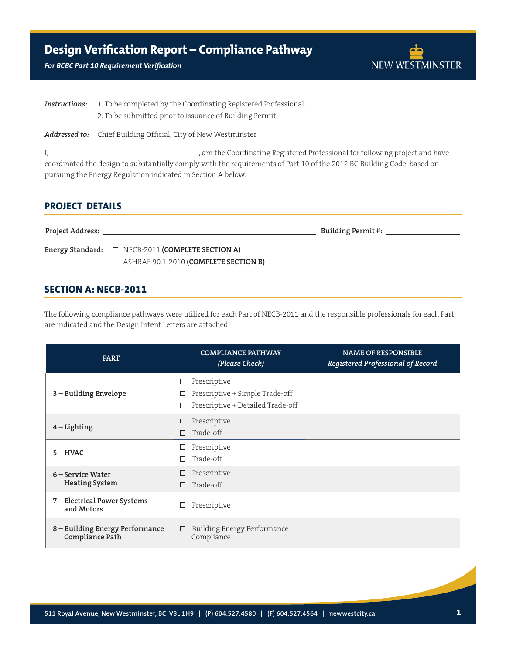#### *For BCBC Part 10 Requirement Verification*



**Instructions:** 1. To be completed by the Coordinating Registered Professional. 2. To be submitted prior to issuance of Building Permit.

*Addressed to:* Chief Building Official, City of New Westminster

I, \_\_\_\_\_\_\_\_\_\_\_\_\_\_\_\_\_\_\_\_\_\_\_\_\_\_\_\_\_\_\_\_\_\_\_\_ , am the Coordinating Registered Professional for following project and have coordinated the design to substantially comply with the requirements of Part 10 of the 2012 BC Building Code, based on pursuing the Energy Regulation indicated in Section A below.

# **Project Details**

**Project Address: Building Permit #:** 

**Energy Standard:** □ NECB-2011 **(COMPLETE SECTION A)** ASHRAE 90.1-2010 **(Complete Section B)**

## **Section A: NECB-2011**

The following compliance pathways were utilized for each Part of NECB-2011 and the responsible professionals for each Part are indicated and the Design Intent Letters are attached:

| <b>PART</b>                                        | <b>COMPLIANCE PATHWAY</b><br>(Please Check)                                               | <b>NAME OF RESPONSIBLE</b><br>Registered Professional of Record |
|----------------------------------------------------|-------------------------------------------------------------------------------------------|-----------------------------------------------------------------|
| 3 – Building Envelope                              | Prescriptive<br>ப<br>Prescriptive + Simple Trade-off<br>Prescriptive + Detailed Trade-off |                                                                 |
| $4$ – Lighting                                     | Prescriptive<br>Trade-off                                                                 |                                                                 |
| $5 - HVAC$                                         | Prescriptive<br>ப<br>Trade-off                                                            |                                                                 |
| 6 – Service Water<br><b>Heating System</b>         | Prescriptive<br>Trade-off                                                                 |                                                                 |
| 7 - Electrical Power Systems<br>and Motors         | Prescriptive<br>ப                                                                         |                                                                 |
| 8 – Building Energy Performance<br>Compliance Path | Building Energy Performance<br>Compliance                                                 |                                                                 |